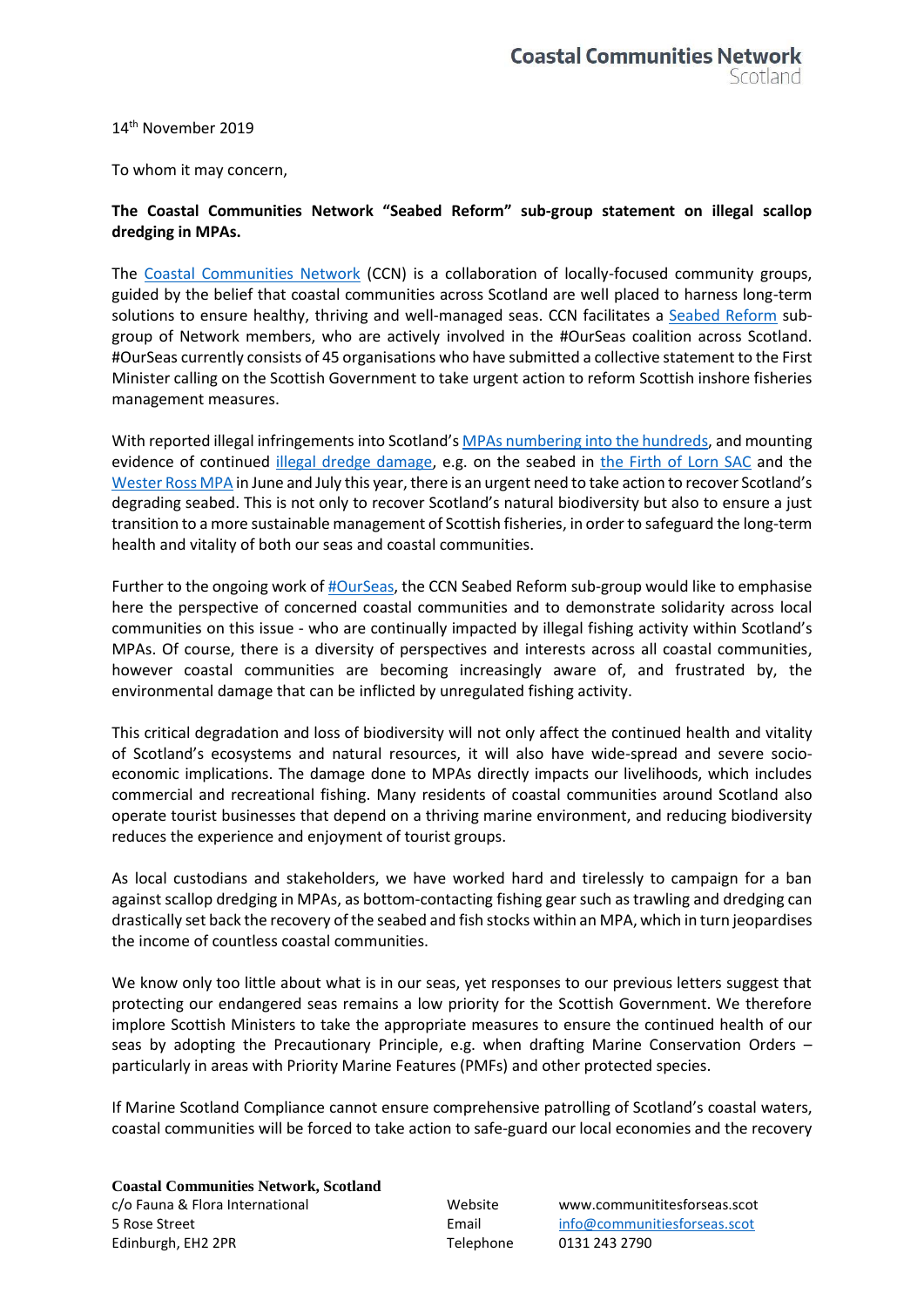14 th November 2019

To whom it may concern,

## **The Coastal Communities Network "Seabed Reform" sub-group statement on illegal scallop dredging in MPAs.**

The [Coastal Communities Network](http://www.communitiesforseas.scot/) (CCN) is a collaboration of locally-focused community groups, guided by the belief that coastal communities across Scotland are well placed to harness long-term solutions to ensure healthy, thriving and well-managed seas. CCN facilitates a [Seabed Reform](https://www.communitiesforseas.scot/network-initiatives/seabed-reform/) subgroup of Network members, who are actively involved in the #OurSeas coalition across Scotland. #OurSeas currently consists of 45 organisations who have submitted a collective statement to the First Minister calling on the Scottish Government to take urgent action to reform Scottish inshore fisheries management measures.

With reported illegal infringements into Scotland's [MPAs numbering into the hundreds,](https://theferret.scot/illegal-fishing-scallop-dredging/) and mounting evidence of continued [illegal dredge damage,](https://www.channel4.com/news/the-illegal-industrial-fishing-damaging-scotlands-great-barrier-reef) e.g. on the seabed in [the Firth of Lorn SAC](https://theferret.scot/scallop-dredging-jura-illegal-video/) and the [Wester Ross MPA](https://www.bbc.co.uk/news/uk-scotland-highlands-islands-49095982) in June and July this year, there is an urgent need to take action to recover Scotland's degrading seabed. This is not only to recover Scotland's natural biodiversity but also to ensure a just transition to a more sustainable management of Scottish fisheries, in order to safeguard the long-term health and vitality of both our seas and coastal communities.

Further to the ongoing work o[f #OurSeas,](http://www.ourseas.scot/) the CCN Seabed Reform sub-group would like to emphasise here the perspective of concerned coastal communities and to demonstrate solidarity across local communities on this issue - who are continually impacted by illegal fishing activity within Scotland's MPAs. Of course, there is a diversity of perspectives and interests across all coastal communities, however coastal communities are becoming increasingly aware of, and frustrated by, the environmental damage that can be inflicted by unregulated fishing activity.

This critical degradation and loss of biodiversity will not only affect the continued health and vitality of Scotland's ecosystems and natural resources, it will also have wide-spread and severe socioeconomic implications. The damage done to MPAs directly impacts our livelihoods, which includes commercial and recreational fishing. Many residents of coastal communities around Scotland also operate tourist businesses that depend on a thriving marine environment, and reducing biodiversity reduces the experience and enjoyment of tourist groups.

As local custodians and stakeholders, we have worked hard and tirelessly to campaign for a ban against scallop dredging in MPAs, as bottom-contacting fishing gear such astrawling and dredging can drastically set back the recovery of the seabed and fish stocks within an MPA, which in turn jeopardises the income of countless coastal communities.

We know only too little about what is in our seas, yet responses to our previous letters suggest that protecting our endangered seas remains a low priority for the Scottish Government. We therefore implore Scottish Ministers to take the appropriate measures to ensure the continued health of our seas by adopting the Precautionary Principle, e.g. when drafting Marine Conservation Orders – particularly in areas with Priority Marine Features (PMFs) and other protected species.

If Marine Scotland Compliance cannot ensure comprehensive patrolling of Scotland's coastal waters, coastal communities will be forced to take action to safe-guard our local economies and the recovery

**Coastal Communities Network, Scotland** c/o Fauna & Flora International Website www.communititesforseas.scot 5 Rose Street Email [info@communitiesforseas.scot](mailto:info@communitiesforseas.scot) Edinburgh, EH2 2PR Telephone 0131 243 2790